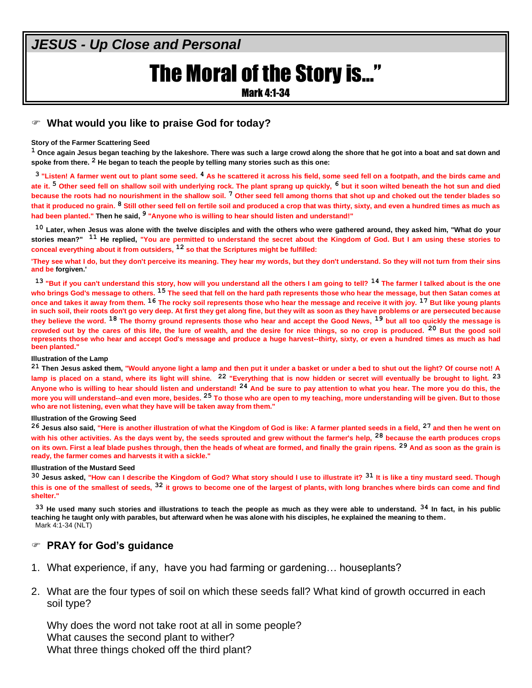## *JESUS - Up Close and Personal*

# The Moral of the Story is…"

Mark 4:1-34

#### **What would you like to praise God for today?**

#### **Story of the Farmer Scattering Seed**

**1 Once again Jesus began teaching by the lakeshore. There was such a large crowd along the shore that he got into a boat and sat down and spoke from there. 2 He began to teach the people by telling many stories such as this one:**

**3 "Listen! A farmer went out to plant some seed. 4 As he scattered it across his field, some seed fell on a footpath, and the birds came and ate it. 5 Other seed fell on shallow soil with underlying rock. The plant sprang up quickly, 6 but it soon wilted beneath the hot sun and died because the roots had no nourishment in the shallow soil. 7 Other seed fell among thorns that shot up and choked out the tender blades so that it produced no grain. 8 Still other seed fell on fertile soil and produced a crop that was thirty, sixty, and even a hundred times as much as had been planted." Then he said, 9 "Anyone who is willing to hear should listen and understand!"**

**10 Later, when Jesus was alone with the twelve disciples and with the others who were gathered around, they asked him, "What do your stories mean?" 11 He replied, "You are permitted to understand the secret about the Kingdom of God. But I am using these stories to conceal everything about it from outsiders, 12 so that the Scriptures might be fulfilled:**

**'They see what I do, but they don't perceive its meaning. They hear my words, but they don't understand. So they will not turn from their sins and be forgiven.'**

**13 "But if you can't understand this story, how will you understand all the others I am going to tell? 14 The farmer I talked about is the one who brings God's message to others. 15 The seed that fell on the hard path represents those who hear the message, but then Satan comes at once and takes it away from them. 16 The rocky soil represents those who hear the message and receive it with joy. 17 But like young plants in such soil, their roots don't go very deep. At first they get along fine, but they wilt as soon as they have problems or are persecuted because they believe the word. 18 The thorny ground represents those who hear and accept the Good News, 19 but all too quickly the message is crowded out by the cares of this life, the lure of wealth, and the desire for nice things, so no crop is produced. 20 But the good soil represents those who hear and accept God's message and produce a huge harvest--thirty, sixty, or even a hundred times as much as had been planted."**

#### **Illustration of the Lamp**

**21 Then Jesus asked them, "Would anyone light a lamp and then put it under a basket or under a bed to shut out the light? Of course not! A lamp is placed on a stand, where its light will shine. 22 "Everything that is now hidden or secret will eventually be brought to light. 23 Anyone who is willing to hear should listen and understand! 24 And be sure to pay attention to what you hear. The more you do this, the more you will understand--and even more, besides. 25 To those who are open to my teaching, more understanding will be given. But to those who are not listening, even what they have will be taken away from them."**

#### **Illustration of the Growing Seed**

**26 Jesus also said, "Here is another illustration of what the Kingdom of God is like: A farmer planted seeds in a field, 27 and then he went on with his other activities. As the days went by, the seeds sprouted and grew without the farmer's help, 28 because the earth produces crops on its own. First a leaf blade pushes through, then the heads of wheat are formed, and finally the grain ripens. 29 And as soon as the grain is ready, the farmer comes and harvests it with a sickle."**

#### **Illustration of the Mustard Seed**

**30 Jesus asked, "How can I describe the Kingdom of God? What story should I use to illustrate it? 31 It is like a tiny mustard seed. Though this is one of the smallest of seeds, 32 it grows to become one of the largest of plants, with long branches where birds can come and find shelter."**

**33 He used many such stories and illustrations to teach the people as much as they were able to understand. 34 In fact, in his public teaching he taught only with parables, but afterward when he was alone with his disciples, he explained the meaning to them.**  Mark 4:1-34 (NLT)

#### **PRAY for God's guidance**

- 1. What experience, if any, have you had farming or gardening… houseplants?
- 2. What are the four types of soil on which these seeds fall? What kind of growth occurred in each soil type?

Why does the word not take root at all in some people? What causes the second plant to wither? What three things choked off the third plant?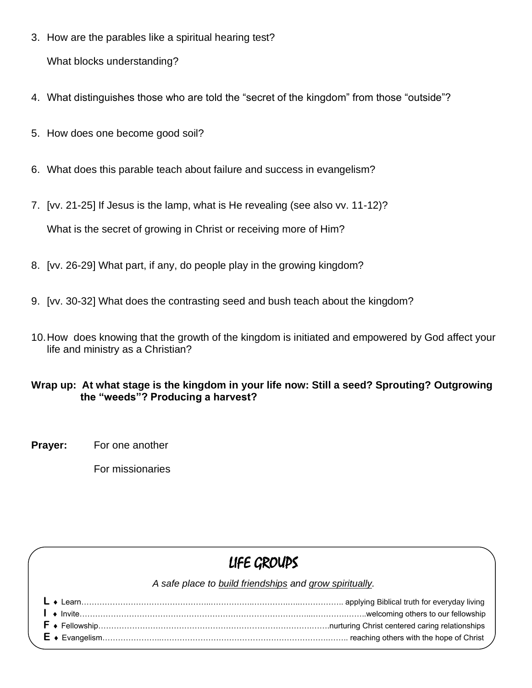3. How are the parables like a spiritual hearing test?

What blocks understanding?

- 4. What distinguishes those who are told the "secret of the kingdom" from those "outside"?
- 5. How does one become good soil?
- 6. What does this parable teach about failure and success in evangelism?
- 7. [vv. 21-25] If Jesus is the lamp, what is He revealing (see also vv. 11-12)? What is the secret of growing in Christ or receiving more of Him?
- 8. [vv. 26-29] What part, if any, do people play in the growing kingdom?
- 9. [vv. 30-32] What does the contrasting seed and bush teach about the kingdom?
- 10.How does knowing that the growth of the kingdom is initiated and empowered by God affect your life and ministry as a Christian?

#### **Wrap up: At what stage is the kingdom in your life now: Still a seed? Sprouting? Outgrowing the "weeds"? Producing a harvest?**

**Prayer:** For one another

For missionaries

# LIFE GROUPS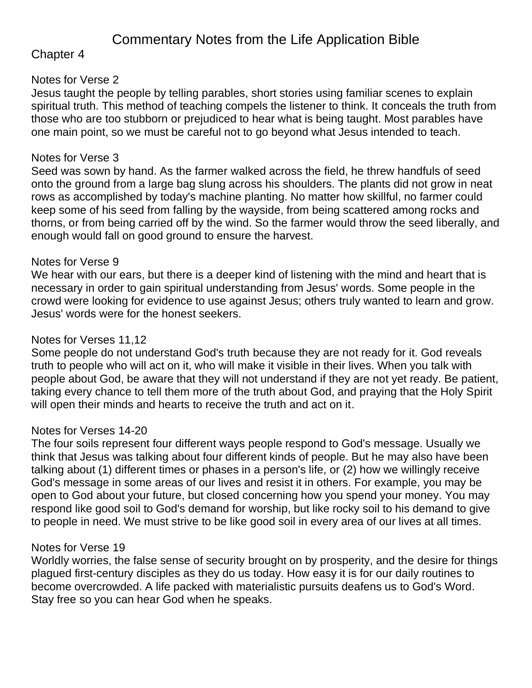## Commentary Notes from the Life Application Bible

## Chapter 4

## Notes for Verse 2

Jesus taught the people by telling parables, short stories using familiar scenes to explain spiritual truth. This method of teaching compels the listener to think. It conceals the truth from those who are too stubborn or prejudiced to hear what is being taught. Most parables have one main point, so we must be careful not to go beyond what Jesus intended to teach.

#### Notes for Verse 3

Seed was sown by hand. As the farmer walked across the field, he threw handfuls of seed onto the ground from a large bag slung across his shoulders. The plants did not grow in neat rows as accomplished by today's machine planting. No matter how skillful, no farmer could keep some of his seed from falling by the wayside, from being scattered among rocks and thorns, or from being carried off by the wind. So the farmer would throw the seed liberally, and enough would fall on good ground to ensure the harvest.

#### Notes for Verse 9

We hear with our ears, but there is a deeper kind of listening with the mind and heart that is necessary in order to gain spiritual understanding from Jesus' words. Some people in the crowd were looking for evidence to use against Jesus; others truly wanted to learn and grow. Jesus' words were for the honest seekers.

## Notes for Verses 11,12

Some people do not understand God's truth because they are not ready for it. God reveals truth to people who will act on it, who will make it visible in their lives. When you talk with people about God, be aware that they will not understand if they are not yet ready. Be patient, taking every chance to tell them more of the truth about God, and praying that the Holy Spirit will open their minds and hearts to receive the truth and act on it.

#### Notes for Verses 14-20

The four soils represent four different ways people respond to God's message. Usually we think that Jesus was talking about four different kinds of people. But he may also have been talking about (1) different times or phases in a person's life, or (2) how we willingly receive God's message in some areas of our lives and resist it in others. For example, you may be open to God about your future, but closed concerning how you spend your money. You may respond like good soil to God's demand for worship, but like rocky soil to his demand to give to people in need. We must strive to be like good soil in every area of our lives at all times.

#### Notes for Verse 19

Worldly worries, the false sense of security brought on by prosperity, and the desire for things plagued first-century disciples as they do us today. How easy it is for our daily routines to become overcrowded. A life packed with materialistic pursuits deafens us to God's Word. Stay free so you can hear God when he speaks.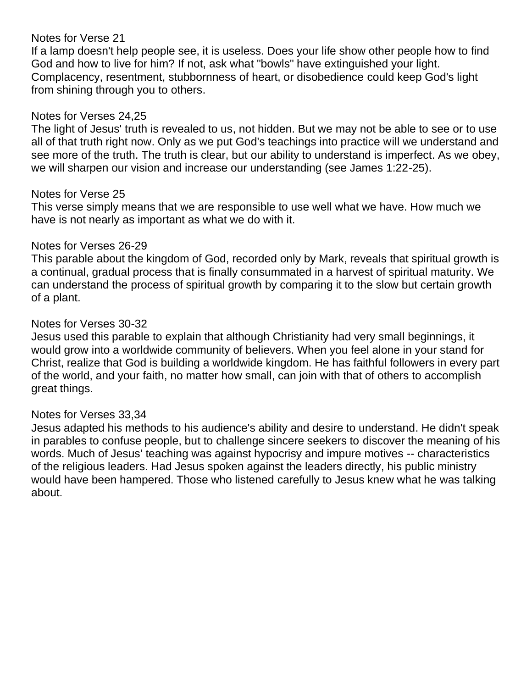#### Notes for Verse 21

If a lamp doesn't help people see, it is useless. Does your life show other people how to find God and how to live for him? If not, ask what "bowls" have extinguished your light. Complacency, resentment, stubbornness of heart, or disobedience could keep God's light from shining through you to others.

## Notes for Verses 24,25

The light of Jesus' truth is revealed to us, not hidden. But we may not be able to see or to use all of that truth right now. Only as we put God's teachings into practice will we understand and see more of the truth. The truth is clear, but our ability to understand is imperfect. As we obey, we will sharpen our vision and increase our understanding (see James 1:22-25).

#### Notes for Verse 25

This verse simply means that we are responsible to use well what we have. How much we have is not nearly as important as what we do with it.

## Notes for Verses 26-29

This parable about the kingdom of God, recorded only by Mark, reveals that spiritual growth is a continual, gradual process that is finally consummated in a harvest of spiritual maturity. We can understand the process of spiritual growth by comparing it to the slow but certain growth of a plant.

## Notes for Verses 30-32

Jesus used this parable to explain that although Christianity had very small beginnings, it would grow into a worldwide community of believers. When you feel alone in your stand for Christ, realize that God is building a worldwide kingdom. He has faithful followers in every part of the world, and your faith, no matter how small, can join with that of others to accomplish great things.

#### Notes for Verses 33,34

Jesus adapted his methods to his audience's ability and desire to understand. He didn't speak in parables to confuse people, but to challenge sincere seekers to discover the meaning of his words. Much of Jesus' teaching was against hypocrisy and impure motives -- characteristics of the religious leaders. Had Jesus spoken against the leaders directly, his public ministry would have been hampered. Those who listened carefully to Jesus knew what he was talking about.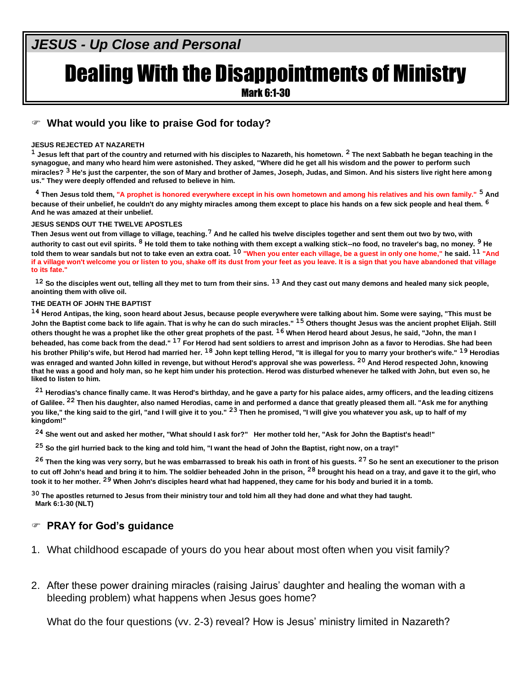# Dealing With the Disappointments of Ministry

Mark 6:1-30

#### **What would you like to praise God for today?**

#### **JESUS REJECTED AT NAZARETH**

**1 Jesus left that part of the country and returned with his disciples to Nazareth, his hometown. 2 The next Sabbath he began teaching in the synagogue, and many who heard him were astonished. They asked, "Where did he get all his wisdom and the power to perform such miracles? 3 He's just the carpenter, the son of Mary and brother of James, Joseph, Judas, and Simon. And his sisters live right here among us." They were deeply offended and refused to believe in him.**

**4 Then Jesus told them, "A prophet is honored everywhere except in his own hometown and among his relatives and his own family." 5 And because of their unbelief, he couldn't do any mighty miracles among them except to place his hands on a few sick people and heal them. 6 And he was amazed at their unbelief.** 

#### **JESUS SENDS OUT THE TWELVE APOSTLES**

**Then Jesus went out from village to village, teaching.7 And he called his twelve disciples together and sent them out two by two, with authority to cast out evil spirits. 8 He told them to take nothing with them except a walking stick--no food, no traveler's bag, no money. 9 He told them to wear sandals but not to take even an extra coat. 10 "When you enter each village, be a guest in only one home," he said. 11 "And if a village won't welcome you or listen to you, shake off its dust from your feet as you leave. It is a sign that you have abandoned that village to its fate."**

**12 So the disciples went out, telling all they met to turn from their sins. 13 And they cast out many demons and healed many sick people, anointing them with olive oil.** 

#### **THE DEATH OF JOHN THE BAPTIST**

**14 Herod Antipas, the king, soon heard about Jesus, because people everywhere were talking about him. Some were saying, "This must be John the Baptist come back to life again. That is why he can do such miracles." 15 Others thought Jesus was the ancient prophet Elijah. Still others thought he was a prophet like the other great prophets of the past. 16 When Herod heard about Jesus, he said, "John, the man I beheaded, has come back from the dead." 17 For Herod had sent soldiers to arrest and imprison John as a favor to Herodias. She had been his brother Philip's wife, but Herod had married her. 18 John kept telling Herod, "It is illegal for you to marry your brother's wife." 19 Herodias was enraged and wanted John killed in revenge, but without Herod's approval she was powerless. 20 And Herod respected John, knowing that he was a good and holy man, so he kept him under his protection. Herod was disturbed whenever he talked with John, but even so, he liked to listen to him.**

**21 Herodias's chance finally came. It was Herod's birthday, and he gave a party for his palace aides, army officers, and the leading citizens of Galilee. 22 Then his daughter, also named Herodias, came in and performed a dance that greatly pleased them all. "Ask me for anything you like," the king said to the girl, "and I will give it to you." 23 Then he promised, "I will give you whatever you ask, up to half of my kingdom!"**

**24 She went out and asked her mother, "What should I ask for?" Her mother told her, "Ask for John the Baptist's head!"**

**25 So the girl hurried back to the king and told him, "I want the head of John the Baptist, right now, on a tray!"**

**26 Then the king was very sorry, but he was embarrassed to break his oath in front of his guests. 27 So he sent an executioner to the prison to cut off John's head and bring it to him. The soldier beheaded John in the prison, 28 brought his head on a tray, and gave it to the girl, who took it to her mother. 29 When John's disciples heard what had happened, they came for his body and buried it in a tomb.** 

**30 The apostles returned to Jesus from their ministry tour and told him all they had done and what they had taught. Mark 6:1-30 (NLT)**

#### **PRAY for God's guidance**

- 1. What childhood escapade of yours do you hear about most often when you visit family?
- 2. After these power draining miracles (raising Jairus' daughter and healing the woman with a bleeding problem) what happens when Jesus goes home?

What do the four questions (vv. 2-3) reveal? How is Jesus' ministry limited in Nazareth?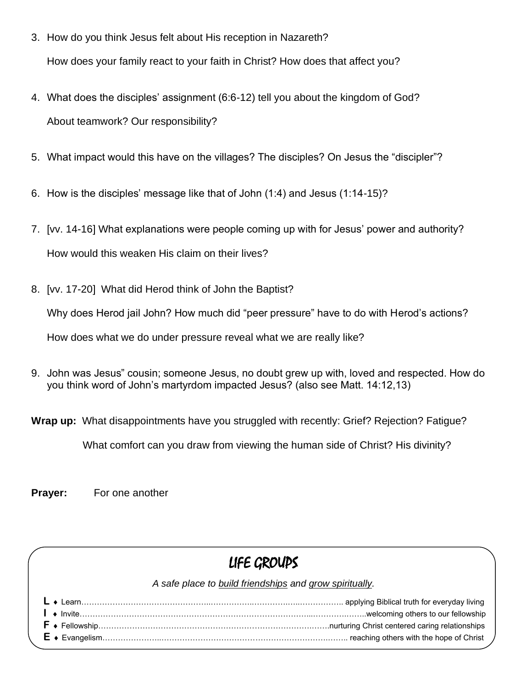- 3. How do you think Jesus felt about His reception in Nazareth? How does your family react to your faith in Christ? How does that affect you?
- 4. What does the disciples' assignment (6:6-12) tell you about the kingdom of God? About teamwork? Our responsibility?
- 5. What impact would this have on the villages? The disciples? On Jesus the "discipler"?
- 6. How is the disciples' message like that of John (1:4) and Jesus (1:14-15)?
- 7. [vv. 14-16] What explanations were people coming up with for Jesus' power and authority? How would this weaken His claim on their lives?
- 8. [vv. 17-20] What did Herod think of John the Baptist?

Why does Herod jail John? How much did "peer pressure" have to do with Herod's actions? How does what we do under pressure reveal what we are really like?

- 9. John was Jesus" cousin; someone Jesus, no doubt grew up with, loved and respected. How do you think word of John's martyrdom impacted Jesus? (also see Matt. 14:12,13)
- **Wrap up:** What disappointments have you struggled with recently: Grief? Rejection? Fatigue? What comfort can you draw from viewing the human side of Christ? His divinity?

**Prayer:** For one another

# LIFE GROUPS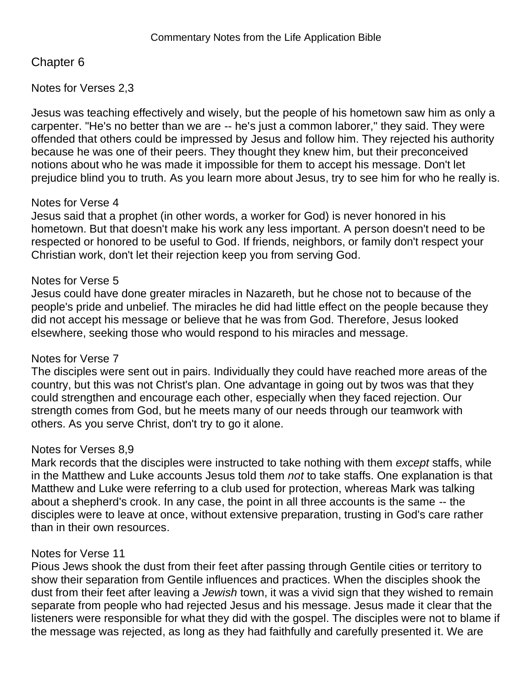## Chapter 6

## Notes for Verses 2,3

Jesus was teaching effectively and wisely, but the people of his hometown saw him as only a carpenter. "He's no better than we are -- he's just a common laborer," they said. They were offended that others could be impressed by Jesus and follow him. They rejected his authority because he was one of their peers. They thought they knew him, but their preconceived notions about who he was made it impossible for them to accept his message. Don't let prejudice blind you to truth. As you learn more about Jesus, try to see him for who he really is.

## Notes for Verse 4

Jesus said that a prophet (in other words, a worker for God) is never honored in his hometown. But that doesn't make his work any less important. A person doesn't need to be respected or honored to be useful to God. If friends, neighbors, or family don't respect your Christian work, don't let their rejection keep you from serving God.

## Notes for Verse 5

Jesus could have done greater miracles in Nazareth, but he chose not to because of the people's pride and unbelief. The miracles he did had little effect on the people because they did not accept his message or believe that he was from God. Therefore, Jesus looked elsewhere, seeking those who would respond to his miracles and message.

## Notes for Verse 7

The disciples were sent out in pairs. Individually they could have reached more areas of the country, but this was not Christ's plan. One advantage in going out by twos was that they could strengthen and encourage each other, especially when they faced rejection. Our strength comes from God, but he meets many of our needs through our teamwork with others. As you serve Christ, don't try to go it alone.

## Notes for Verses 8,9

Mark records that the disciples were instructed to take nothing with them *except* staffs, while in the Matthew and Luke accounts Jesus told them *not* to take staffs. One explanation is that Matthew and Luke were referring to a club used for protection, whereas Mark was talking about a shepherd's crook. In any case, the point in all three accounts is the same -- the disciples were to leave at once, without extensive preparation, trusting in God's care rather than in their own resources.

## Notes for Verse 11

Pious Jews shook the dust from their feet after passing through Gentile cities or territory to show their separation from Gentile influences and practices. When the disciples shook the dust from their feet after leaving a *Jewish* town, it was a vivid sign that they wished to remain separate from people who had rejected Jesus and his message. Jesus made it clear that the listeners were responsible for what they did with the gospel. The disciples were not to blame if the message was rejected, as long as they had faithfully and carefully presented it. We are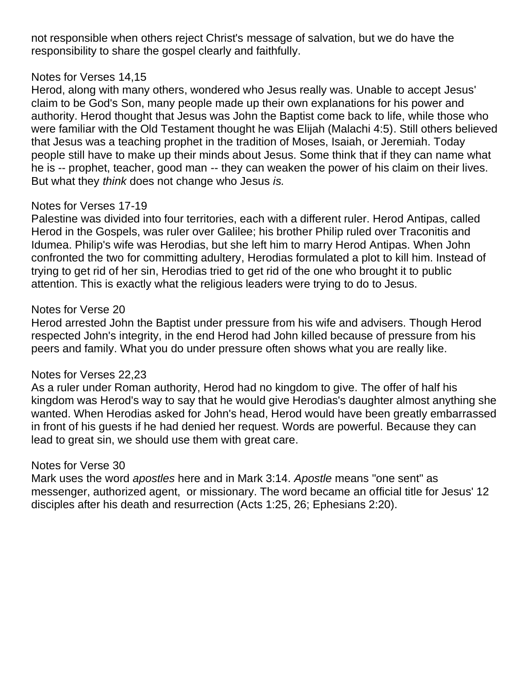not responsible when others reject Christ's message of salvation, but we do have the responsibility to share the gospel clearly and faithfully.

#### Notes for Verses 14,15

Herod, along with many others, wondered who Jesus really was. Unable to accept Jesus' claim to be God's Son, many people made up their own explanations for his power and authority. Herod thought that Jesus was John the Baptist come back to life, while those who were familiar with the Old Testament thought he was Elijah (Malachi 4:5). Still others believed that Jesus was a teaching prophet in the tradition of Moses, Isaiah, or Jeremiah. Today people still have to make up their minds about Jesus. Some think that if they can name what he is -- prophet, teacher, good man -- they can weaken the power of his claim on their lives. But what they *think* does not change who Jesus *is.*

## Notes for Verses 17-19

Palestine was divided into four territories, each with a different ruler. Herod Antipas, called Herod in the Gospels, was ruler over Galilee; his brother Philip ruled over Traconitis and Idumea. Philip's wife was Herodias, but she left him to marry Herod Antipas. When John confronted the two for committing adultery, Herodias formulated a plot to kill him. Instead of trying to get rid of her sin, Herodias tried to get rid of the one who brought it to public attention. This is exactly what the religious leaders were trying to do to Jesus.

#### Notes for Verse 20

Herod arrested John the Baptist under pressure from his wife and advisers. Though Herod respected John's integrity, in the end Herod had John killed because of pressure from his peers and family. What you do under pressure often shows what you are really like.

#### Notes for Verses 22,23

As a ruler under Roman authority, Herod had no kingdom to give. The offer of half his kingdom was Herod's way to say that he would give Herodias's daughter almost anything she wanted. When Herodias asked for John's head, Herod would have been greatly embarrassed in front of his guests if he had denied her request. Words are powerful. Because they can lead to great sin, we should use them with great care.

#### Notes for Verse 30

Mark uses the word *apostles* here and in Mark 3:14. *Apostle* means "one sent" as messenger, authorized agent, or missionary. The word became an official title for Jesus' 12 disciples after his death and resurrection (Acts 1:25, 26; Ephesians 2:20).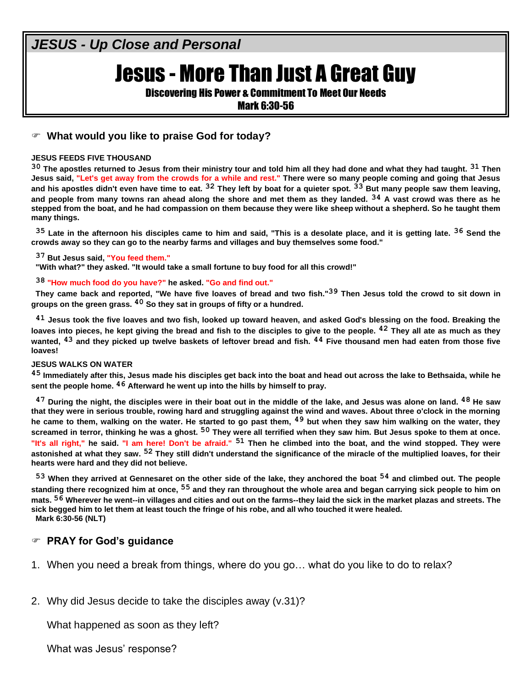## *JESUS - Up Close and Personal*

# Jesus - More Than Just A Great Guy

Discovering His Power & Commitment To Meet Our Needs

Mark 6:30-56

#### **What would you like to praise God for today?**

#### **JESUS FEEDS FIVE THOUSAND**

**30 The apostles returned to Jesus from their ministry tour and told him all they had done and what they had taught. 31 Then Jesus said, "Let's get away from the crowds for a while and rest." There were so many people coming and going that Jesus and his apostles didn't even have time to eat. 32 They left by boat for a quieter spot. 33 But many people saw them leaving, and people from many towns ran ahead along the shore and met them as they landed. 34 A vast crowd was there as he stepped from the boat, and he had compassion on them because they were like sheep without a shepherd. So he taught them many things.**

**35 Late in the afternoon his disciples came to him and said, "This is a desolate place, and it is getting late. 36 Send the crowds away so they can go to the nearby farms and villages and buy themselves some food."**

**37 But Jesus said, "You feed them."**

 **"With what?" they asked. "It would take a small fortune to buy food for all this crowd!"**

#### **38 "How much food do you have?" he asked. "Go and find out."**

 **They came back and reported, "We have five loaves of bread and two fish."39 Then Jesus told the crowd to sit down in groups on the green grass. 40 So they sat in groups of fifty or a hundred.**

**41 Jesus took the five loaves and two fish, looked up toward heaven, and asked God's blessing on the food. Breaking the loaves into pieces, he kept giving the bread and fish to the disciples to give to the people. 42 They all ate as much as they wanted, 43 and they picked up twelve baskets of leftover bread and fish. 44 Five thousand men had eaten from those five loaves!** 

#### **JESUS WALKS ON WATER**

**45 Immediately after this, Jesus made his disciples get back into the boat and head out across the lake to Bethsaida, while he sent the people home. 46 Afterward he went up into the hills by himself to pray.**

**47 During the night, the disciples were in their boat out in the middle of the lake, and Jesus was alone on land. 48 He saw that they were in serious trouble, rowing hard and struggling against the wind and waves. About three o'clock in the morning he came to them, walking on the water. He started to go past them, 49 but when they saw him walking on the water, they screamed in terror, thinking he was a ghost. 50 They were all terrified when they saw him. But Jesus spoke to them at once. "It's all right," he said. "I am here! Don't be afraid." 51 Then he climbed into the boat, and the wind stopped. They were astonished at what they saw. 52 They still didn't understand the significance of the miracle of the multiplied loaves, for their hearts were hard and they did not believe.**

**53 When they arrived at Gennesaret on the other side of the lake, they anchored the boat 54 and climbed out. The people standing there recognized him at once, 55 and they ran throughout the whole area and began carrying sick people to him on mats. 56 Wherever he went--in villages and cities and out on the farms--they laid the sick in the market plazas and streets. The sick begged him to let them at least touch the fringe of his robe, and all who touched it were healed. Mark 6:30-56 (NLT)**

#### **PRAY for God's guidance**

- 1. When you need a break from things, where do you go… what do you like to do to relax?
- 2. Why did Jesus decide to take the disciples away (v.31)?

What happened as soon as they left?

What was Jesus' response?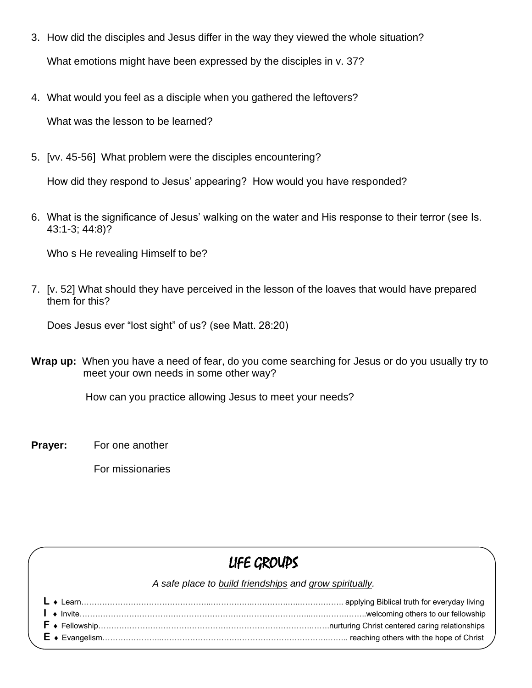- 3. How did the disciples and Jesus differ in the way they viewed the whole situation? What emotions might have been expressed by the disciples in v. 37?
- 4. What would you feel as a disciple when you gathered the leftovers?

What was the lesson to be learned?

5. [vv. 45-56] What problem were the disciples encountering?

How did they respond to Jesus' appearing? How would you have responded?

6. What is the significance of Jesus' walking on the water and His response to their terror (see Is. 43:1-3; 44:8)?

Who s He revealing Himself to be?

7. [v. 52] What should they have perceived in the lesson of the loaves that would have prepared them for this?

Does Jesus ever "lost sight" of us? (see Matt. 28:20)

**Wrap up:** When you have a need of fear, do you come searching for Jesus or do you usually try to meet your own needs in some other way?

How can you practice allowing Jesus to meet your needs?

**Prayer:** For one another

For missionaries

# LIFE GROUPS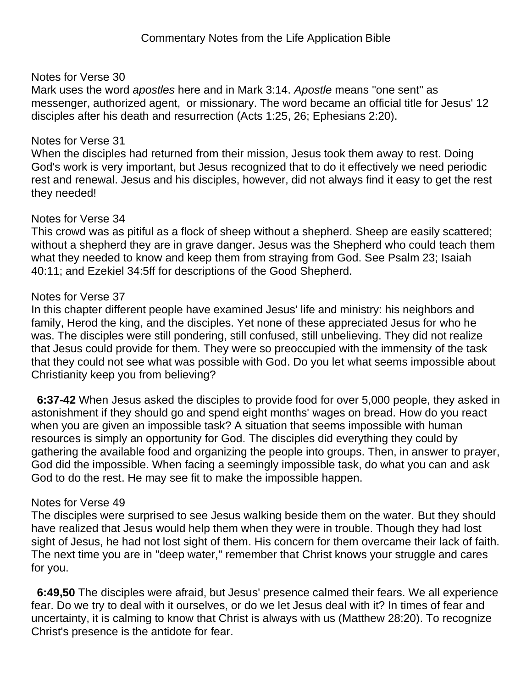#### Notes for Verse 30

Mark uses the word *apostles* here and in Mark 3:14. *Apostle* means "one sent" as messenger, authorized agent, or missionary. The word became an official title for Jesus' 12 disciples after his death and resurrection (Acts 1:25, 26; Ephesians 2:20).

#### Notes for Verse 31

When the disciples had returned from their mission, Jesus took them away to rest. Doing God's work is very important, but Jesus recognized that to do it effectively we need periodic rest and renewal. Jesus and his disciples, however, did not always find it easy to get the rest they needed!

## Notes for Verse 34

This crowd was as pitiful as a flock of sheep without a shepherd. Sheep are easily scattered; without a shepherd they are in grave danger. Jesus was the Shepherd who could teach them what they needed to know and keep them from straying from God. See Psalm 23; Isaiah 40:11; and Ezekiel 34:5ff for descriptions of the Good Shepherd.

## Notes for Verse 37

In this chapter different people have examined Jesus' life and ministry: his neighbors and family, Herod the king, and the disciples. Yet none of these appreciated Jesus for who he was. The disciples were still pondering, still confused, still unbelieving. They did not realize that Jesus could provide for them. They were so preoccupied with the immensity of the task that they could not see what was possible with God. Do you let what seems impossible about Christianity keep you from believing?

 **6:37-42** When Jesus asked the disciples to provide food for over 5,000 people, they asked in astonishment if they should go and spend eight months' wages on bread. How do you react when you are given an impossible task? A situation that seems impossible with human resources is simply an opportunity for God. The disciples did everything they could by gathering the available food and organizing the people into groups. Then, in answer to prayer, God did the impossible. When facing a seemingly impossible task, do what you can and ask God to do the rest. He may see fit to make the impossible happen.

## Notes for Verse 49

The disciples were surprised to see Jesus walking beside them on the water. But they should have realized that Jesus would help them when they were in trouble. Though they had lost sight of Jesus, he had not lost sight of them. His concern for them overcame their lack of faith. The next time you are in "deep water," remember that Christ knows your struggle and cares for you.

 **6:49,50** The disciples were afraid, but Jesus' presence calmed their fears. We all experience fear. Do we try to deal with it ourselves, or do we let Jesus deal with it? In times of fear and uncertainty, it is calming to know that Christ is always with us (Matthew 28:20). To recognize Christ's presence is the antidote for fear.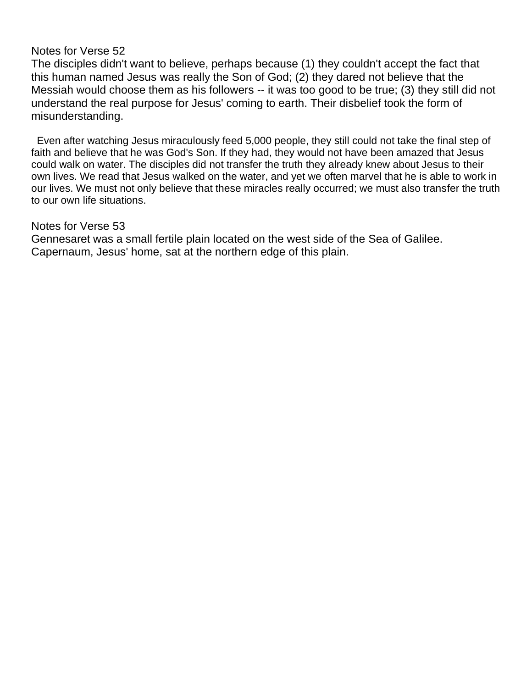#### Notes for Verse 52

The disciples didn't want to believe, perhaps because (1) they couldn't accept the fact that this human named Jesus was really the Son of God; (2) they dared not believe that the Messiah would choose them as his followers -- it was too good to be true; (3) they still did not understand the real purpose for Jesus' coming to earth. Their disbelief took the form of misunderstanding.

 Even after watching Jesus miraculously feed 5,000 people, they still could not take the final step of faith and believe that he was God's Son. If they had, they would not have been amazed that Jesus could walk on water. The disciples did not transfer the truth they already knew about Jesus to their own lives. We read that Jesus walked on the water, and yet we often marvel that he is able to work in our lives. We must not only believe that these miracles really occurred; we must also transfer the truth to our own life situations.

#### Notes for Verse 53

Gennesaret was a small fertile plain located on the west side of the Sea of Galilee. Capernaum, Jesus' home, sat at the northern edge of this plain.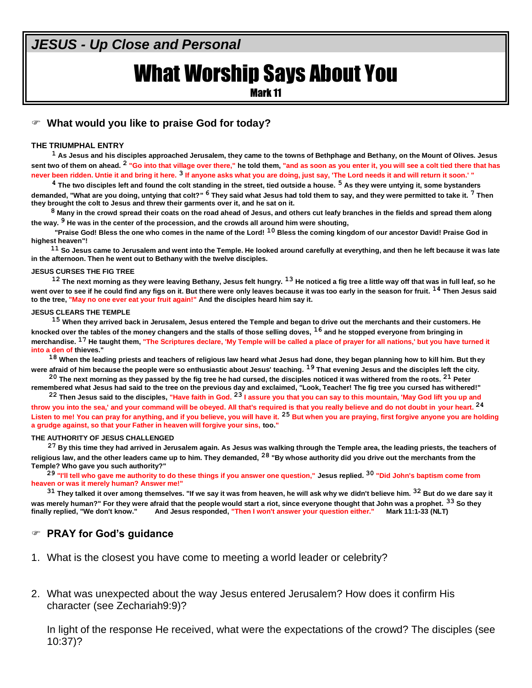## *JESUS - Up Close and Personal*

# What Worship Says About You

Mark 11

#### **What would you like to praise God for today?**

#### **THE TRIUMPHAL ENTRY**

 **1 As Jesus and his disciples approached Jerusalem, they came to the towns of Bethphage and Bethany, on the Mount of Olives. Jesus sent two of them on ahead. 2 "Go into that village over there," he told them, "and as soon as you enter it, you will see a colt tied there that has never been ridden. Untie it and bring it here. 3 If anyone asks what you are doing, just say, 'The Lord needs it and will return it soon.' "**

 **4 The two disciples left and found the colt standing in the street, tied outside a house. 5 As they were untying it, some bystanders demanded, "What are you doing, untying that colt?" 6 They said what Jesus had told them to say, and they were permitted to take it. 7 Then they brought the colt to Jesus and threw their garments over it, and he sat on it.**

**8 Many in the crowd spread their coats on the road ahead of Jesus, and others cut leafy branches in the fields and spread them along the way. 9 He was in the center of the procession, and the crowds all around him were shouting,** 

 **"Praise God! Bless the one who comes in the name of the Lord! 10 Bless the coming kingdom of our ancestor David! Praise God in highest heaven"!**

**11 So Jesus came to Jerusalem and went into the Temple. He looked around carefully at everything, and then he left because it was late in the afternoon. Then he went out to Bethany with the twelve disciples.** 

#### **JESUS CURSES THE FIG TREE**

 **12 The next morning as they were leaving Bethany, Jesus felt hungry. 13 He noticed a fig tree a little way off that was in full leaf, so he went over to see if he could find any figs on it. But there were only leaves because it was too early in the season for fruit. 14 Then Jesus said to the tree, "May no one ever eat your fruit again!" And the disciples heard him say it.** 

#### **JESUS CLEARS THE TEMPLE**

 **15 When they arrived back in Jerusalem, Jesus entered the Temple and began to drive out the merchants and their customers. He knocked over the tables of the money changers and the stalls of those selling doves, 16 and he stopped everyone from bringing in merchandise. 17 He taught them, "The Scriptures declare, 'My Temple will be called a place of prayer for all nations,' but you have turned it into a den of thieves."**

**18 When the leading priests and teachers of religious law heard what Jesus had done, they began planning how to kill him. But they were afraid of him because the people were so enthusiastic about Jesus' teaching. 19 That evening Jesus and the disciples left the city.**

**20 The next morning as they passed by the fig tree he had cursed, the disciples noticed it was withered from the roots. 21 Peter remembered what Jesus had said to the tree on the previous day and exclaimed, "Look, Teacher! The fig tree you cursed has withered!"**

**22 Then Jesus said to the disciples, "Have faith in God. 23 I assure you that you can say to this mountain, 'May God lift you up and throw you into the sea,' and your command will be obeyed. All that's required is that you really believe and do not doubt in your heart. 24 Listen to me! You can pray for anything, and if you believe, you will have it. 25 But when you are praying, first forgive anyone you are holding a grudge against, so that your Father in heaven will forgive your sins, too."**

#### **THE AUTHORITY OF JESUS CHALLENGED**

 **27 By this time they had arrived in Jerusalem again. As Jesus was walking through the Temple area, the leading priests, the teachers of religious law, and the other leaders came up to him. They demanded, 28 "By whose authority did you drive out the merchants from the Temple? Who gave you such authority?"**

**29 "I'll tell who gave me authority to do these things if you answer one question," Jesus replied. 30 "Did John's baptism come from heaven or was it merely human? Answer me!"**

**31 They talked it over among themselves. "If we say it was from heaven, he will ask why we didn't believe him. 32 But do we dare say it was merely human?" For they were afraid that the people would start a riot, since everyone thought that John was a prophet. 33 So they finally replied, "We don't know." And Jesus responded, "Then I won't answer your question either." Mark 11:1-33 (NLT)**

#### **PRAY for God's guidance**

- 1. What is the closest you have come to meeting a world leader or celebrity?
- 2. What was unexpected about the way Jesus entered Jerusalem? How does it confirm His character (see Zechariah9:9)?

In light of the response He received, what were the expectations of the crowd? The disciples (see 10:37)?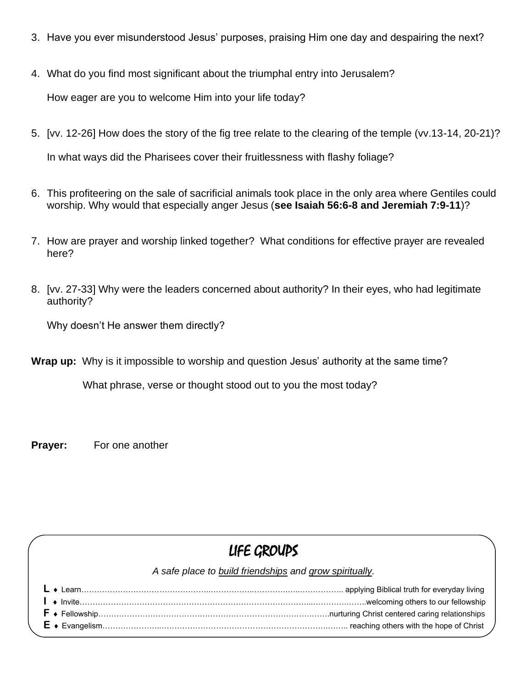- 3. Have you ever misunderstood Jesus' purposes, praising Him one day and despairing the next?
- 4. What do you find most significant about the triumphal entry into Jerusalem?

How eager are you to welcome Him into your life today?

- 5. [vv. 12-26] How does the story of the fig tree relate to the clearing of the temple (vv.13-14, 20-21)? In what ways did the Pharisees cover their fruitlessness with flashy foliage?
- 6. This profiteering on the sale of sacrificial animals took place in the only area where Gentiles could worship. Why would that especially anger Jesus (**see Isaiah 56:6-8 and Jeremiah 7:9-11**)?
- 7. How are prayer and worship linked together? What conditions for effective prayer are revealed here?
- 8. [vv. 27-33] Why were the leaders concerned about authority? In their eyes, who had legitimate authority?

Why doesn't He answer them directly?

**Wrap up:** Why is it impossible to worship and question Jesus' authority at the same time?

What phrase, verse or thought stood out to you the most today?

**Prayer:** For one another

## LIFE GROUPS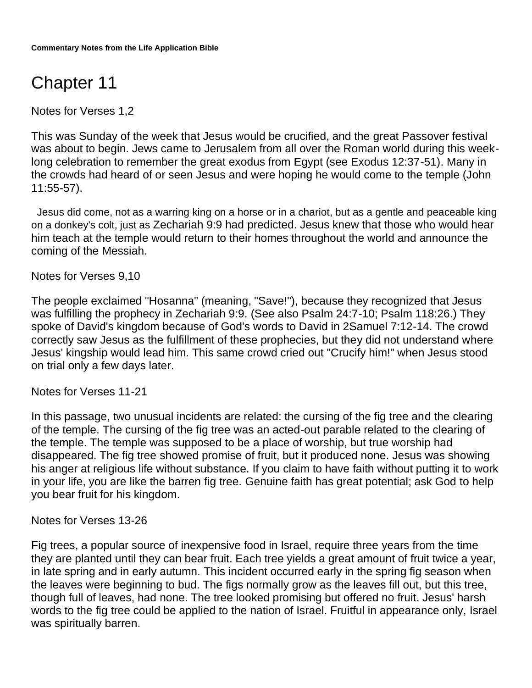# Chapter 11

Notes for Verses 1,2

This was Sunday of the week that Jesus would be crucified, and the great Passover festival was about to begin. Jews came to Jerusalem from all over the Roman world during this weeklong celebration to remember the great exodus from Egypt (see Exodus 12:37-51). Many in the crowds had heard of or seen Jesus and were hoping he would come to the temple (John 11:55-57).

 Jesus did come, not as a warring king on a horse or in a chariot, but as a gentle and peaceable king on a donkey's colt, just as Zechariah 9:9 had predicted. Jesus knew that those who would hear him teach at the temple would return to their homes throughout the world and announce the coming of the Messiah.

Notes for Verses 9,10

The people exclaimed "Hosanna" (meaning, "Save!"), because they recognized that Jesus was fulfilling the prophecy in Zechariah 9:9. (See also Psalm 24:7-10; Psalm 118:26.) They spoke of David's kingdom because of God's words to David in 2Samuel 7:12-14. The crowd correctly saw Jesus as the fulfillment of these prophecies, but they did not understand where Jesus' kingship would lead him. This same crowd cried out "Crucify him!" when Jesus stood on trial only a few days later.

Notes for Verses 11-21

In this passage, two unusual incidents are related: the cursing of the fig tree and the clearing of the temple. The cursing of the fig tree was an acted-out parable related to the clearing of the temple. The temple was supposed to be a place of worship, but true worship had disappeared. The fig tree showed promise of fruit, but it produced none. Jesus was showing his anger at religious life without substance. If you claim to have faith without putting it to work in your life, you are like the barren fig tree. Genuine faith has great potential; ask God to help you bear fruit for his kingdom.

Notes for Verses 13-26

Fig trees, a popular source of inexpensive food in Israel, require three years from the time they are planted until they can bear fruit. Each tree yields a great amount of fruit twice a year, in late spring and in early autumn. This incident occurred early in the spring fig season when the leaves were beginning to bud. The figs normally grow as the leaves fill out, but this tree, though full of leaves, had none. The tree looked promising but offered no fruit. Jesus' harsh words to the fig tree could be applied to the nation of Israel. Fruitful in appearance only, Israel was spiritually barren.